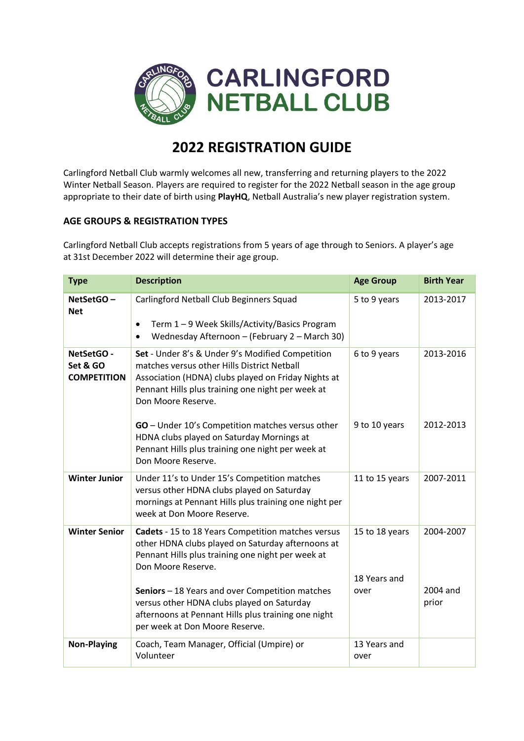

# **2022 REGISTRATION GUIDE**

Carlingford Netball Club warmly welcomes all new, transferring and returning players to the 2022 Winter Netball Season. Players are required to register for the 2022 Netball season in the age group appropriate to their date of birth using **PlayHQ**, Netball Australia's new player registration system.

## **AGE GROUPS & REGISTRATION TYPES**

Carlingford Netball Club accepts registrations from 5 years of age through to Seniors. A player's age at 31st December 2022 will determine their age group.

| <b>Type</b>                                  | <b>Description</b>                                                                                                                                                                                                                    | <b>Age Group</b>                       | <b>Birth Year</b>     |
|----------------------------------------------|---------------------------------------------------------------------------------------------------------------------------------------------------------------------------------------------------------------------------------------|----------------------------------------|-----------------------|
| NetSetGO-<br><b>Net</b>                      | Carlingford Netball Club Beginners Squad<br>Term 1 - 9 Week Skills/Activity/Basics Program<br>$\bullet$<br>Wednesday Afternoon - (February 2 - March 30)<br>$\bullet$                                                                 | 5 to 9 years                           | 2013-2017             |
| NetSetGO -<br>Set & GO<br><b>COMPETITION</b> | Set - Under 8's & Under 9's Modified Competition<br>matches versus other Hills District Netball<br>Association (HDNA) clubs played on Friday Nights at<br>Pennant Hills plus training one night per week at<br>Don Moore Reserve.     | 6 to 9 years                           | 2013-2016             |
|                                              | GO - Under 10's Competition matches versus other<br>HDNA clubs played on Saturday Mornings at<br>Pennant Hills plus training one night per week at<br>Don Moore Reserve.                                                              | 9 to 10 years                          | 2012-2013             |
| <b>Winter Junior</b>                         | Under 11's to Under 15's Competition matches<br>versus other HDNA clubs played on Saturday<br>mornings at Pennant Hills plus training one night per<br>week at Don Moore Reserve.                                                     | 11 to 15 years                         | 2007-2011             |
| <b>Winter Senior</b>                         | Cadets - 15 to 18 Years Competition matches versus<br>other HDNA clubs played on Saturday afternoons at<br>Pennant Hills plus training one night per week at<br>Don Moore Reserve.<br>Seniors - 18 Years and over Competition matches | 15 to 18 years<br>18 Years and<br>over | 2004-2007<br>2004 and |
|                                              | versus other HDNA clubs played on Saturday<br>afternoons at Pennant Hills plus training one night<br>per week at Don Moore Reserve.                                                                                                   |                                        | prior                 |
| <b>Non-Playing</b>                           | Coach, Team Manager, Official (Umpire) or<br>Volunteer                                                                                                                                                                                | 13 Years and<br>over                   |                       |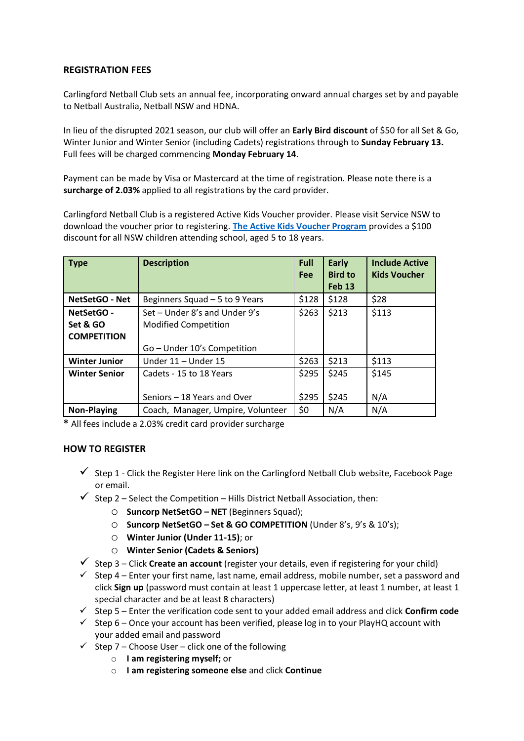## **REGISTRATION FEES**

Carlingford Netball Club sets an annual fee, incorporating onward annual charges set by and payable to Netball Australia, Netball NSW and HDNA.

In lieu of the disrupted 2021 season, our club will offer an **Early Bird discount** of \$50 for all Set & Go, Winter Junior and Winter Senior (including Cadets) registrations through to **Sunday February 13.**  Full fees will be charged commencing **Monday February 14**.

Payment can be made by Visa or Mastercard at the time of registration. Please note there is a **surcharge of 2.03%** applied to all registrations by the card provider.

Carlingford Netball Club is a registered Active Kids Voucher provider. Please visit Service NSW to download the voucher prior to registering. **[The Active Kids Voucher Program](https://www.service.nsw.gov.au/transaction/apply-active-kids-voucher)** provides a \$100 discount for all NSW children attending school, aged 5 to 18 years.

| <b>Type</b>                                  | <b>Description</b>                                                                          | <b>Full</b><br><b>Fee</b> | Early<br><b>Bird to</b><br><b>Feb 13</b> | <b>Include Active</b><br><b>Kids Voucher</b> |
|----------------------------------------------|---------------------------------------------------------------------------------------------|---------------------------|------------------------------------------|----------------------------------------------|
| <b>NetSetGO - Net</b>                        | Beginners Squad - 5 to 9 Years                                                              | \$128                     | \$128                                    | \$28                                         |
| NetSetGO -<br>Set & GO<br><b>COMPETITION</b> | Set - Under 8's and Under 9's<br><b>Modified Competition</b><br>Go - Under 10's Competition | \$263                     | \$213                                    | \$113                                        |
| <b>Winter Junior</b>                         | Under 11 - Under 15                                                                         | \$263                     | \$213                                    | \$113                                        |
| <b>Winter Senior</b>                         | Cadets - 15 to 18 Years                                                                     | \$295                     | \$245                                    | \$145                                        |
|                                              | Seniors - 18 Years and Over                                                                 | \$295                     | \$245                                    | N/A                                          |
| <b>Non-Playing</b>                           | Coach, Manager, Umpire, Volunteer                                                           | \$0                       | N/A                                      | N/A                                          |

**\*** All fees include a 2.03% credit card provider surcharge

### **HOW TO REGISTER**

- $\checkmark$  Step 1 Click the Register Here link on the Carlingford Netball Club website, Facebook Page or email.
- $\checkmark$  Step 2 Select the Competition Hills District Netball Association, then:
	- o **Suncorp NetSetGO – NET** (Beginners Squad);
	- o **Suncorp NetSetGO – Set & GO COMPETITION** (Under 8's, 9's & 10's);
	- o **Winter Junior (Under 11-15)**; or
	- o **Winter Senior (Cadets & Seniors)**
- Step 3 Click **Create an account** (register your details, even if registering for your child)
- $\checkmark$  Step 4 Enter your first name, last name, email address, mobile number, set a password and click **Sign up** (password must contain at least 1 uppercase letter, at least 1 number, at least 1 special character and be at least 8 characters)
- $\checkmark$  Step 5 Enter the verification code sent to your added email address and click **Confirm code**
- $\checkmark$  Step 6 Once your account has been verified, please log in to your PlayHQ account with your added email and password
- $\checkmark$  Step 7 Choose User click one of the following
	- o **I am registering myself;** or
	- o **I am registering someone else** and click **Continue**